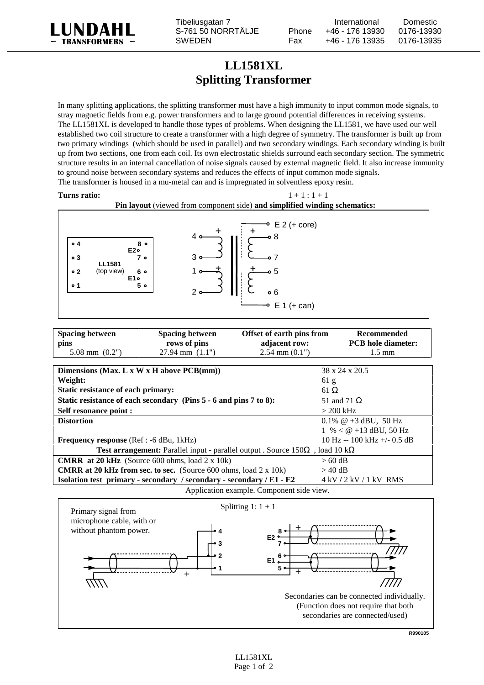

Tibeliusgatan 7 **International** Domestic S-761 50 NORRTÄLJE Phone +46 - 176 13930 0176-13930 SWEDEN Fax +46 - 176 13935 0176-13935

## **LL1581XL Splitting Transformer**

In many splitting applications, the splitting transformer must have a high immunity to input common mode signals, to stray magnetic fields from e.g. power transformers and to large ground potential differences in receiving systems. The LL1581XL is developed to handle those types of problems. When designing the LL1581, we have used our well established two coil structure to create a transformer with a high degree of symmetry. The transformer is built up from two primary windings (which should be used in parallel) and two secondary windings. Each secondary winding is built up from two sections, one from each coil. Its own electrostatic shields surround each secondary section. The symmetric structure results in an internal cancellation of noise signals caused by external magnetic field. It also increase immunity to ground noise between secondary systems and reduces the effects of input common mode signals. The transformer is housed in a mu-metal can and is impregnated in solventless epoxy resin.

## **Turns ratio:**  $1 + 1 : 1 + 1$

## **Pin layout** (viewed from component side) **and simplified winding schematics:**



| <b>Spacing between</b> | <b>Spacing between</b>      | Offset of earth pins from | <b>Recommended</b>        |
|------------------------|-----------------------------|---------------------------|---------------------------|
| pins                   | rows of pins                | adjacent row:             | <b>PCB</b> hole diameter: |
| $5.08$ mm $(0.2")$     | $27.94 \text{ mm}$ $(1.1")$ | $2.54$ mm $(0.1")$        | $1.5 \text{ mm}$          |

| 38 x 24 x 20.5                                                                                      |  |  |  |
|-----------------------------------------------------------------------------------------------------|--|--|--|
| 61 g                                                                                                |  |  |  |
| 61 $\Omega$                                                                                         |  |  |  |
| 51 and 71 $\Omega$                                                                                  |  |  |  |
| $>$ 200 kHz                                                                                         |  |  |  |
| 0.1% $@+3$ dBU, 50 Hz                                                                               |  |  |  |
| $1 \% < @ +13$ dBU, 50 Hz                                                                           |  |  |  |
| $10 \text{ Hz} - 100 \text{ kHz} + 0.5 \text{ dB}$                                                  |  |  |  |
| <b>Test arrangement:</b> Parallel input - parallel output . Source $150\Omega$ , load 10 k $\Omega$ |  |  |  |
| $> 60 \text{ dB}$                                                                                   |  |  |  |
| $>$ 40 dB                                                                                           |  |  |  |
| $4$ kV $/2$ kV $/1$ kV RMS                                                                          |  |  |  |
|                                                                                                     |  |  |  |

Application example. Component side view.